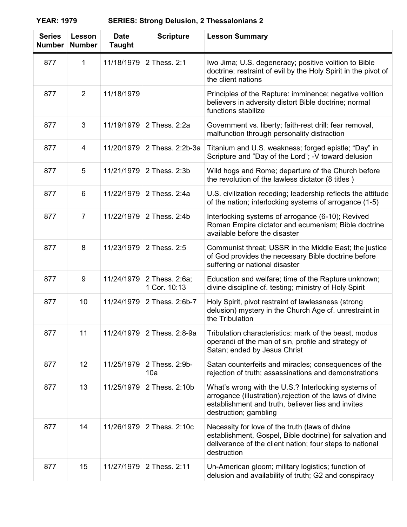**YEAR: 1979 SERIES: Strong Delusion, 2 Thessalonians 2**

| <b>Series</b><br><b>Number</b> | Lesson<br><b>Number</b> | <b>Date</b><br><b>Taught</b> | <b>Scripture</b>               | <b>Lesson Summary</b>                                                                                                                                                                           |
|--------------------------------|-------------------------|------------------------------|--------------------------------|-------------------------------------------------------------------------------------------------------------------------------------------------------------------------------------------------|
| 877                            | 1                       | 11/18/1979                   | 2 Thess, 2:1                   | Iwo Jima; U.S. degeneracy; positive volition to Bible<br>doctrine; restraint of evil by the Holy Spirit in the pivot of<br>the client nations                                                   |
| 877                            | 2                       | 11/18/1979                   |                                | Principles of the Rapture: imminence; negative volition<br>believers in adversity distort Bible doctrine; normal<br>functions stabilize                                                         |
| 877                            | 3                       | 11/19/1979                   | 2 Thess, 2:2a                  | Government vs. liberty; faith-rest drill: fear removal,<br>malfunction through personality distraction                                                                                          |
| 877                            | 4                       | 11/20/1979                   | 2 Thess. 2:2b-3a               | Titanium and U.S. weakness; forged epistle; "Day" in<br>Scripture and "Day of the Lord"; -V toward delusion                                                                                     |
| 877                            | 5                       | 11/21/1979                   | 2 Thess. 2:3b                  | Wild hogs and Rome; departure of the Church before<br>the revolution of the lawless dictator (8 titles)                                                                                         |
| 877                            | 6                       | 11/22/1979                   | 2 Thess. 2:4a                  | U.S. civilization receding; leadership reflects the attitude<br>of the nation; interlocking systems of arrogance (1-5)                                                                          |
| 877                            | $\overline{7}$          | 11/22/1979                   | 2 Thess. 2:4b                  | Interlocking systems of arrogance (6-10); Revived<br>Roman Empire dictator and ecumenism; Bible doctrine<br>available before the disaster                                                       |
| 877                            | 8                       | 11/23/1979                   | 2 Thess. 2:5                   | Communist threat; USSR in the Middle East; the justice<br>of God provides the necessary Bible doctrine before<br>suffering or national disaster                                                 |
| 877                            | 9                       | 11/24/1979                   | 2 Thess. 2:6a;<br>1 Cor. 10:13 | Education and welfare; time of the Rapture unknown;<br>divine discipline cf. testing; ministry of Holy Spirit                                                                                   |
| 877                            | 10                      | 11/24/1979                   | 2 Thess. 2:6b-7                | Holy Spirit, pivot restraint of lawlessness (strong<br>delusion) mystery in the Church Age cf. unrestraint in<br>the Tribulation                                                                |
| 877                            | 11                      | 11/24/1979                   | 2 Thess. 2:8-9a                | Tribulation characteristics: mark of the beast, modus<br>operandi of the man of sin, profile and strategy of<br>Satan; ended by Jesus Christ                                                    |
| 877                            | 12 <sup>2</sup>         | 11/25/1979                   | 2 Thess. 2:9b-<br>10a          | Satan counterfeits and miracles; consequences of the<br>rejection of truth; assassinations and demonstrations                                                                                   |
| 877                            | 13                      | 11/25/1979                   | 2 Thess. 2:10b                 | What's wrong with the U.S.? Interlocking systems of<br>arrogance (illustration), rejection of the laws of divine<br>establishment and truth, believer lies and invites<br>destruction; gambling |
| 877                            | 14                      | 11/26/1979                   | 2 Thess. 2:10c                 | Necessity for love of the truth (laws of divine<br>establishment, Gospel, Bible doctrine) for salvation and<br>deliverance of the client nation; four steps to national<br>destruction          |
| 877                            | 15                      | 11/27/1979                   | 2 Thess. 2:11                  | Un-American gloom; military logistics; function of<br>delusion and availability of truth; G2 and conspiracy                                                                                     |